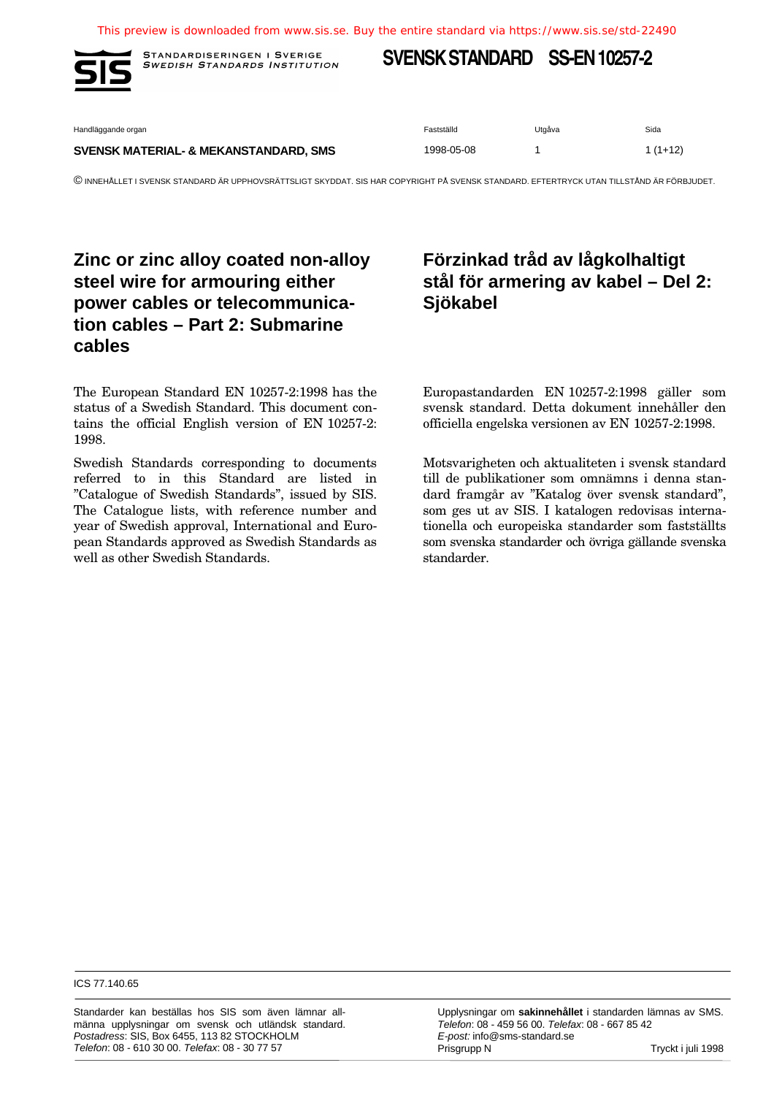

STANDARDISERINGEN I SVERIGE **SWEDISH STANDARDS INSTITUTION** 

**SVENSK STANDARD SS-EN 10257-2**

Handläggande organ Fastställd Utgåva Sida

**SVENSK MATERIAL- & MEKANSTANDARD, SMS** 1998-05-08 1 1 (1+12)

© INNEHÅLLET I SVENSK STANDARD ÄR UPPHOVSRÄTTSLIGT SKYDDAT. SIS HAR COPYRIGHT PÅ SVENSK STANDARD. EFTERTRYCK UTAN TILLSTÅND ÄR FÖRBJUDET.

### **Zinc or zinc alloy coated non-alloy steel wire for armouring either power cables or telecommunication cables – Part 2: Submarine cables**

The European Standard EN 10257-2:1998 has the status of a Swedish Standard. This document contains the official English version of EN 10257-2: 1998.

Swedish Standards corresponding to documents referred to in this Standard are listed in "Catalogue of Swedish Standards", issued by SIS. The Catalogue lists, with reference number and year of Swedish approval, International and European Standards approved as Swedish Standards as well as other Swedish Standards.

## **Förzinkad tråd av lågkolhaltigt stål för armering av kabel – Del 2: Sjökabel**

Europastandarden EN 10257-2:1998 gäller som svensk standard. Detta dokument innehåller den officiella engelska versionen av EN 10257-2:1998.

Motsvarigheten och aktualiteten i svensk standard till de publikationer som omnämns i denna standard framgår av "Katalog över svensk standard", som ges ut av SIS. I katalogen redovisas internationella och europeiska standarder som fastställts som svenska standarder och övriga gällande svenska standarder.

ICS 77.140.65

Standarder kan beställas hos SIS som även lämnar allmänna upplysningar om svensk och utländsk standard. Postadress: SIS, Box 6455, 113 82 STOCKHOLM Telefon: 08 - 610 30 00. Telefax: 08 - 30 77 57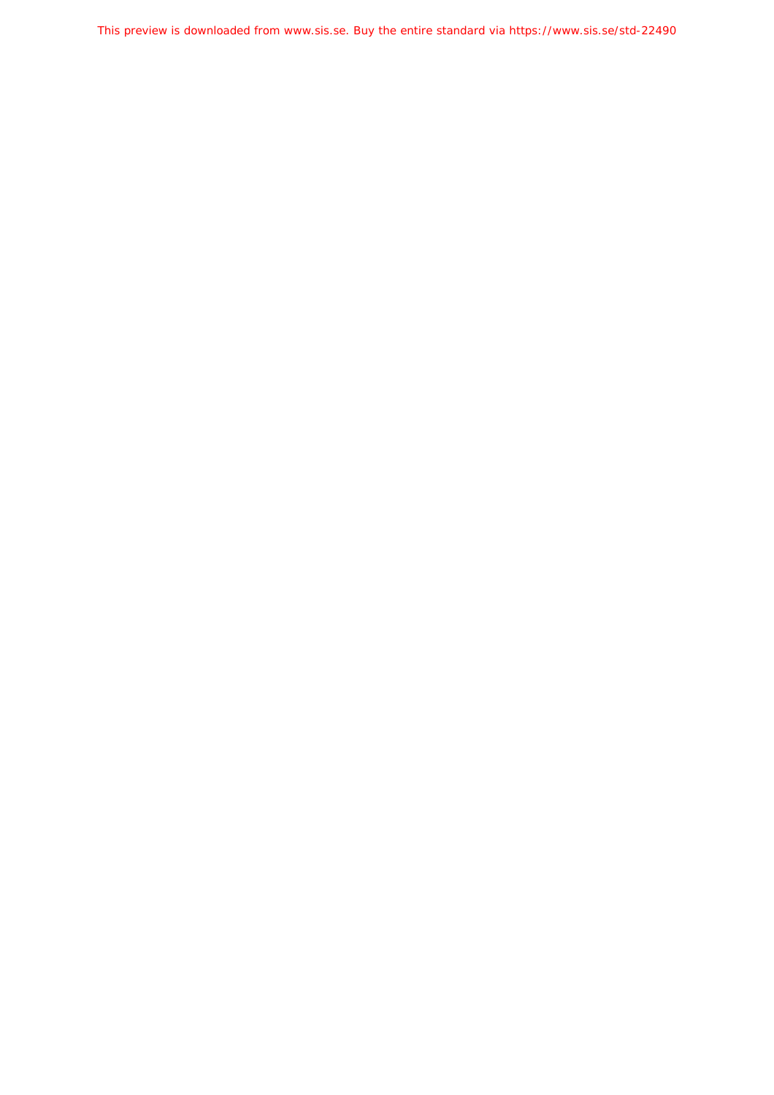This preview is downloaded from www.sis.se. Buy the entire standard via https://www.sis.se/std-22490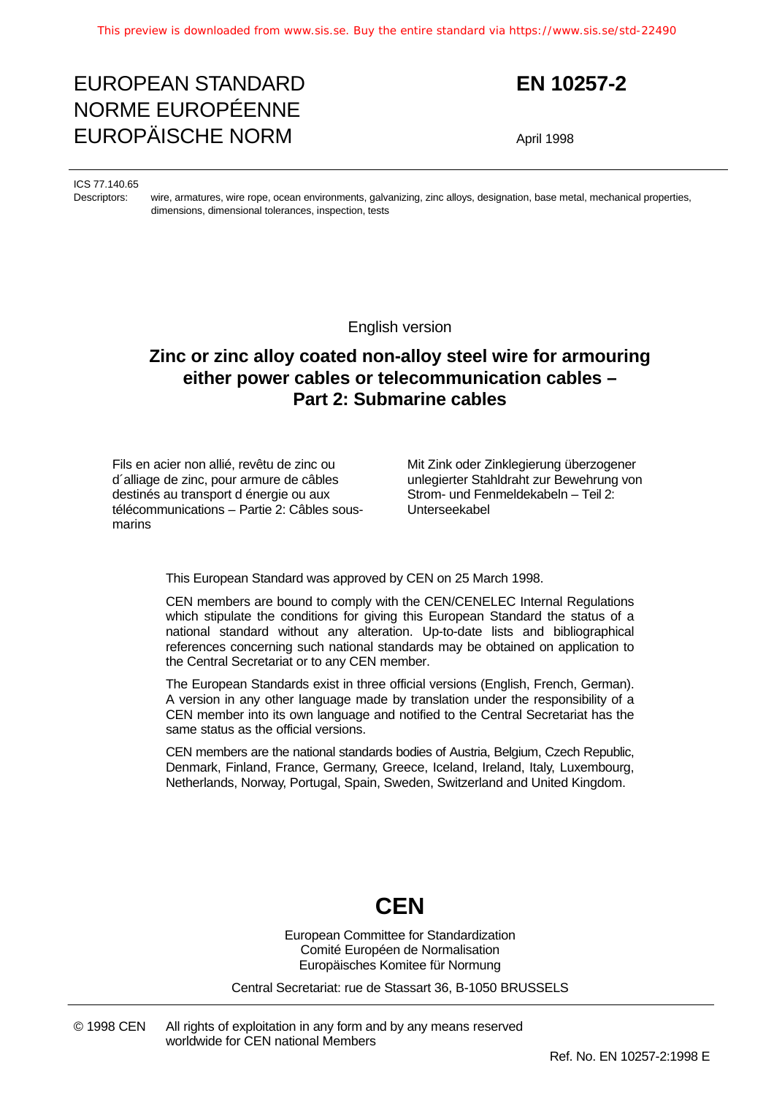# EUROPEAN STANDARD NORME EUROPÉENNE EUROPÄISCHE NORM



April 1998

ICS 77.140.65

Descriptors: wire, armatures, wire rope, ocean environments, galvanizing, zinc alloys, designation, base metal, mechanical properties, dimensions, dimensional tolerances, inspection, tests

English version

## **Zinc or zinc alloy coated non-alloy steel wire for armouring either power cables or telecommunication cables – Part 2: Submarine cables**

Fils en acier non allié, revêtu de zinc ou d´alliage de zinc, pour armure de câbles destinés au transport d énergie ou aux télécommunications – Partie 2: Câbles sousmarins

Mit Zink oder Zinklegierung überzogener unlegierter Stahldraht zur Bewehrung von Strom- und Fenmeldekabeln – Teil 2: Unterseekabel

This European Standard was approved by CEN on 25 March 1998.

CEN members are bound to comply with the CEN/CENELEC Internal Regulations which stipulate the conditions for giving this European Standard the status of a national standard without any alteration. Up-to-date lists and bibliographical references concerning such national standards may be obtained on application to the Central Secretariat or to any CEN member.

The European Standards exist in three official versions (English, French, German). A version in any other language made by translation under the responsibility of a CEN member into its own language and notified to the Central Secretariat has the same status as the official versions.

CEN members are the national standards bodies of Austria, Belgium, Czech Republic, Denmark, Finland, France, Germany, Greece, Iceland, Ireland, Italy, Luxembourg, Netherlands, Norway, Portugal, Spain, Sweden, Switzerland and United Kingdom.



European Committee for Standardization Comité Européen de Normalisation Europäisches Komitee für Normung

Central Secretariat: rue de Stassart 36, B-1050 BRUSSELS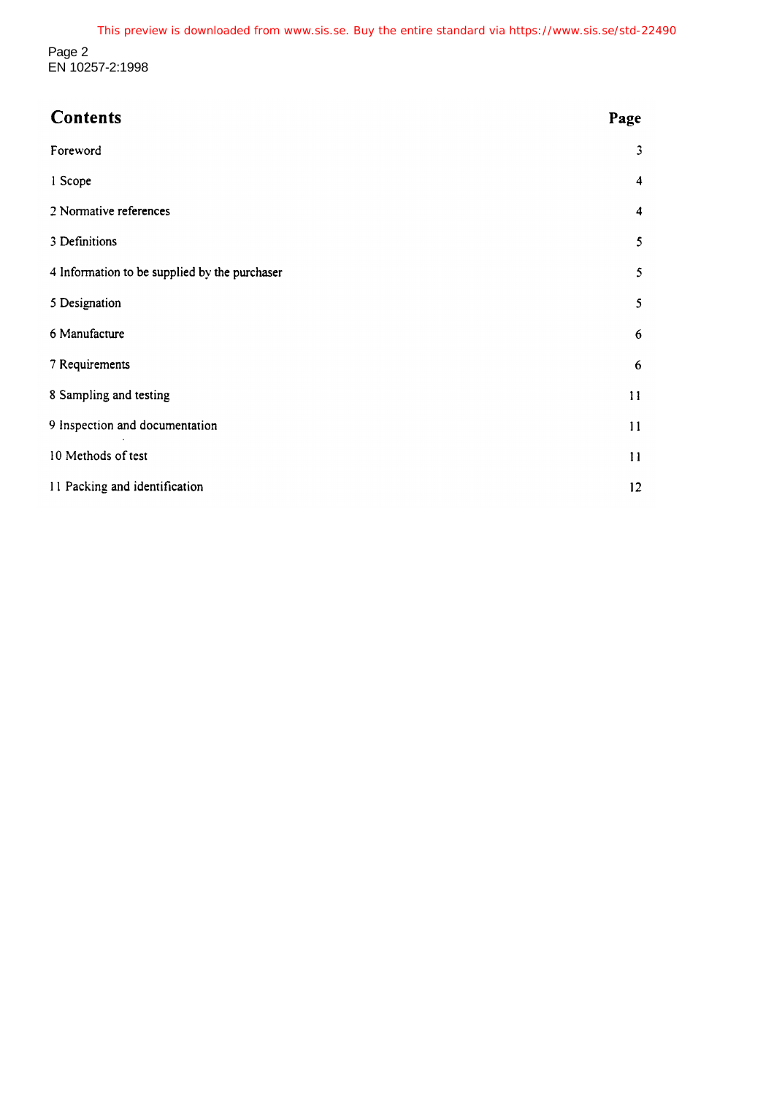| <b>Contents</b>                               | Page          |
|-----------------------------------------------|---------------|
| Foreword                                      | 3             |
| 1 Scope                                       | 4             |
| 2 Normative references                        | 4             |
| 3 Definitions                                 | 5             |
| 4 Information to be supplied by the purchaser | 5             |
| 5 Designation                                 | 5             |
| 6 Manufacture                                 | 6             |
| 7 Requirements                                | 6             |
| 8 Sampling and testing                        | 11            |
| 9 Inspection and documentation                | 11            |
| 10 Methods of test                            | $\mathbf{11}$ |
| 11 Packing and identification                 | 12            |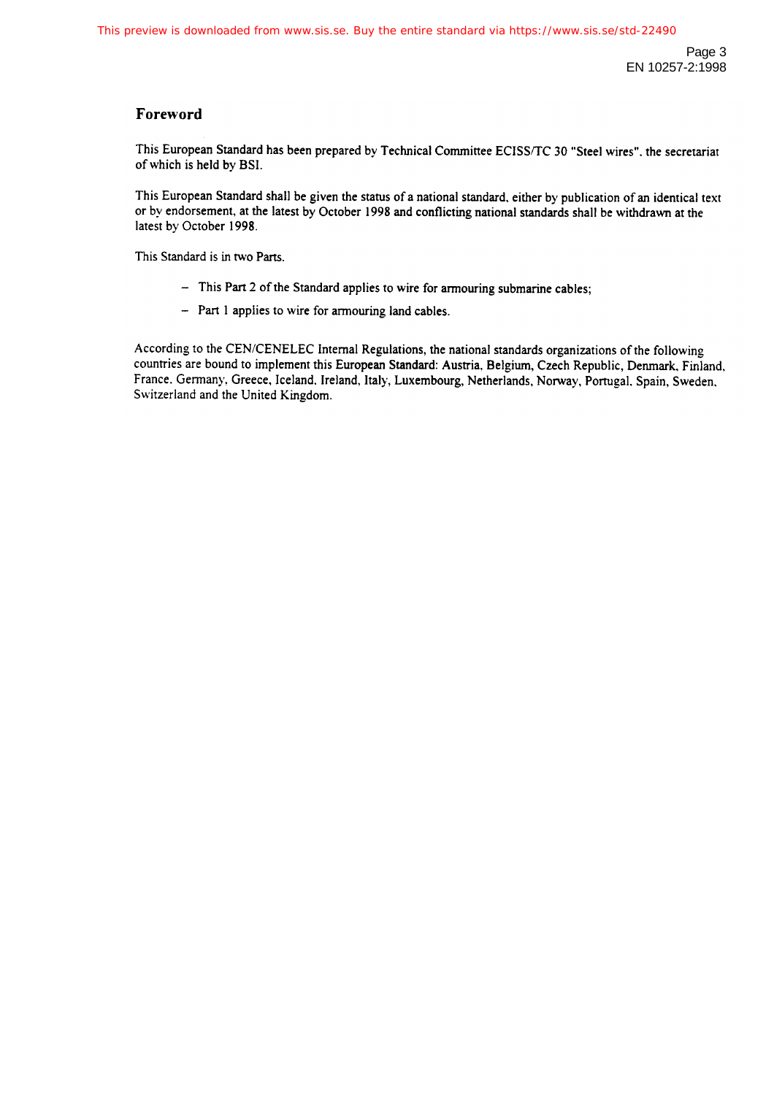### Foreword

This European Standard has been prepared by Technical Committee ECISS/TC 30 "Steel wires", the secretariat of which is held by BSI.

This European Standard shall be given the status of a national standard, either by publication of an identical text or by endorsement, at the latest by October 1998 and conflicting national standards shall be withdrawn at the latest by October 1998.

This Standard is in two Parts.

- This Part 2 of the Standard applies to wire for armouring submarine cables;
- Part 1 applies to wire for armouring land cables.

According to the CEN/CENELEC Internal Regulations, the national standards organizations of the following countries are bound to implement this European Standard: Austria, Belgium, Czech Republic, Denmark, Finland, France. Germany, Greece, Iceland, Ireland, Italy, Luxembourg, Netherlands, Norway, Portugal, Spain, Sweden, Switzerland and the United Kingdom.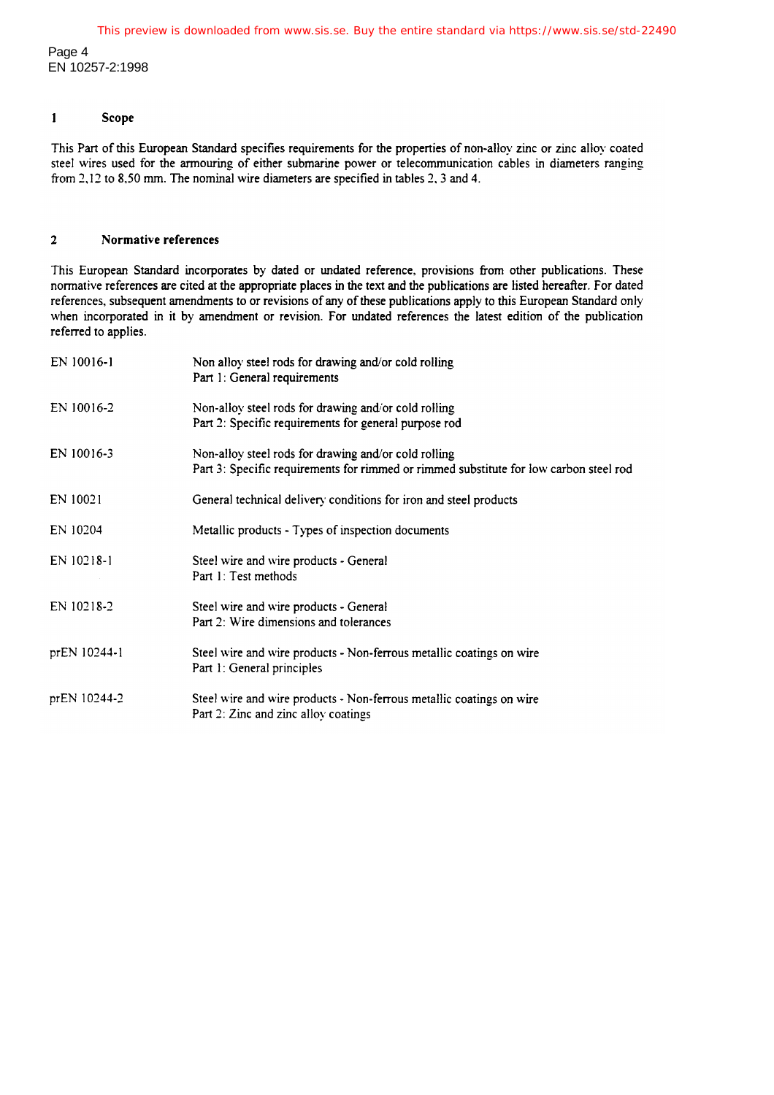Page 4 EN 10257-2:1998

#### $\mathbf{1}$ Scope

This Part of this European Standard specifies requirements for the properties of non-alloy zinc or zinc alloy coated steel wires used for the armouring of either submarine power or telecommunication cables in diameters ranging from 2,12 to 8.50 mm. The nominal wire diameters are specified in tables 2, 3 and 4.

#### $\overline{2}$ Normative references

This European Standard incorporates by dated or undated reference, provisions from other publications. These normative references are cited at the appropriate places in the text and the publications are listed hereafter. For dated references, subsequent amendments to or revisions of any of these publications apply to this European Standard only when incorporated in it by amendment or revision. For undated references the latest edition of the publication referred to applies.

| EN 10016-1   | Non alloy steel rods for drawing and/or cold rolling<br>Part 1: General requirements                                                           |
|--------------|------------------------------------------------------------------------------------------------------------------------------------------------|
| EN 10016-2   | Non-alloy steel rods for drawing and/or cold rolling<br>Part 2: Specific requirements for general purpose rod                                  |
| EN 10016-3   | Non-alloy steel rods for drawing and/or cold rolling<br>Part 3: Specific requirements for rimmed or rimmed substitute for low carbon steel rod |
| EN 10021     | General technical delivery conditions for iron and steel products                                                                              |
| EN 10204     | Metallic products - Types of inspection documents                                                                                              |
| EN 10218-1   | Steel wire and wire products - General<br>Part 1: Test methods                                                                                 |
| EN 10218-2   | Steel wire and wire products - General<br>Part 2: Wire dimensions and tolerances                                                               |
| prEN 10244-1 | Steel wire and wire products - Non-ferrous metallic coatings on wire<br>Part 1: General principles                                             |
| prEN 10244-2 | Steel wire and wire products - Non-ferrous metallic coatings on wire<br>Part 2: Zinc and zinc alloy coatings                                   |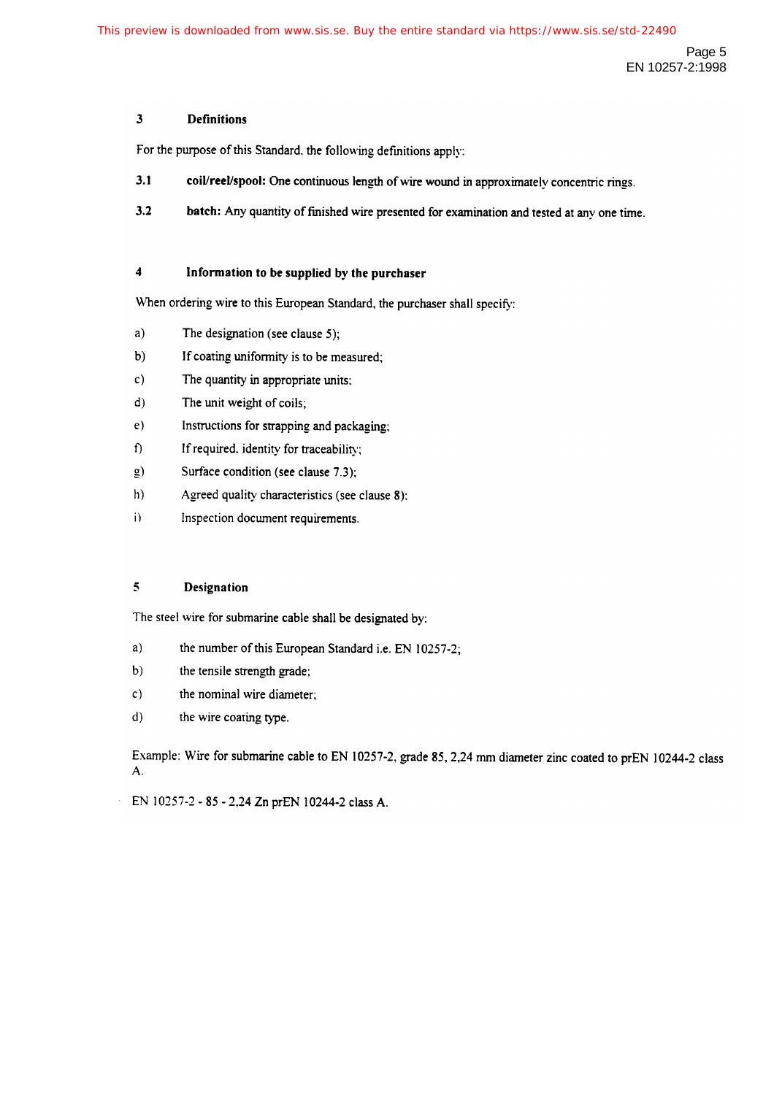Page 5 EN 10257-2:1998

#### **Definitions**  $\overline{\mathbf{3}}$

For the purpose of this Standard, the following definitions apply:

- $3.1$ coil/reel/spool: One continuous length of wire wound in approximately concentric rings.
- $3.2$ batch: Any quantity of finished wire presented for examination and tested at any one time.

#### $\overline{\mathbf{4}}$ Information to be supplied by the purchaser

When ordering wire to this European Standard, the purchaser shall specify:

- $a)$ The designation (see clause 5);
- $b)$ If coating uniformity is to be measured;
- $c)$ The quantity in appropriate units:
- $\mathbf{d}$ The unit weight of coils;
- Instructions for strapping and packaging;  $e)$
- $\hat{D}$ If required, identity for traceability;
- $g)$ Surface condition (see clause 7.3);
- $h)$ Agreed quality characteristics (see clause 8):
- $\ddot{1}$ Inspection document requirements.

#### $\overline{5}$ Designation

The steel wire for submarine cable shall be designated by:

- the number of this European Standard i.e. EN 10257-2;  $a)$
- $b)$ the tensile strength grade;
- $c)$ the nominal wire diameter:
- $\mathbf{d}$ the wire coating type.

Example: Wire for submarine cable to EN 10257-2, grade 85, 2,24 mm diameter zinc coated to prEN 10244-2 class А.

EN 10257-2 - 85 - 2,24 Zn prEN 10244-2 class A.